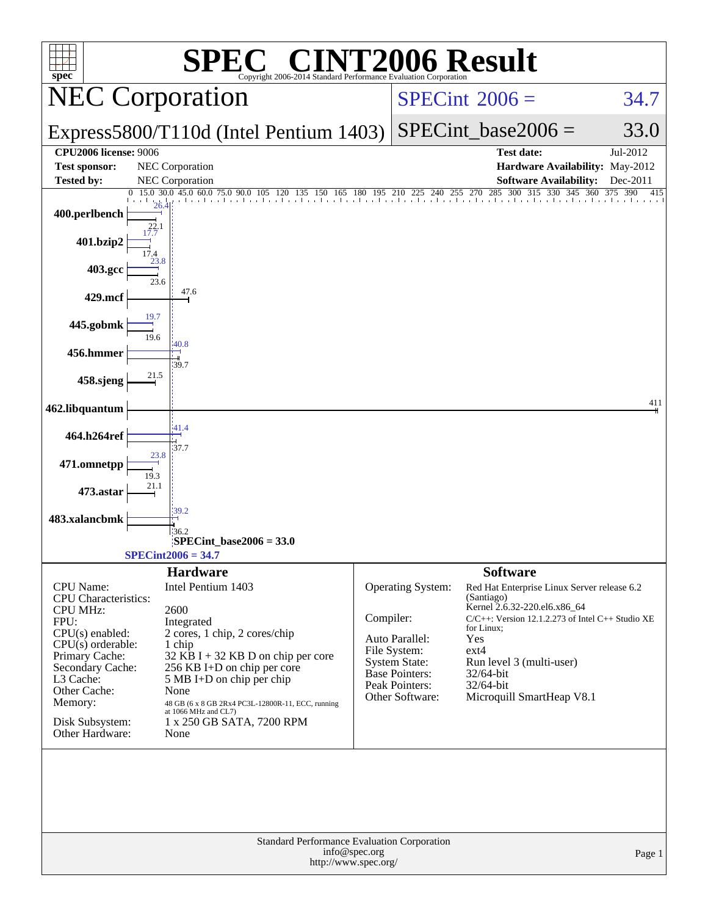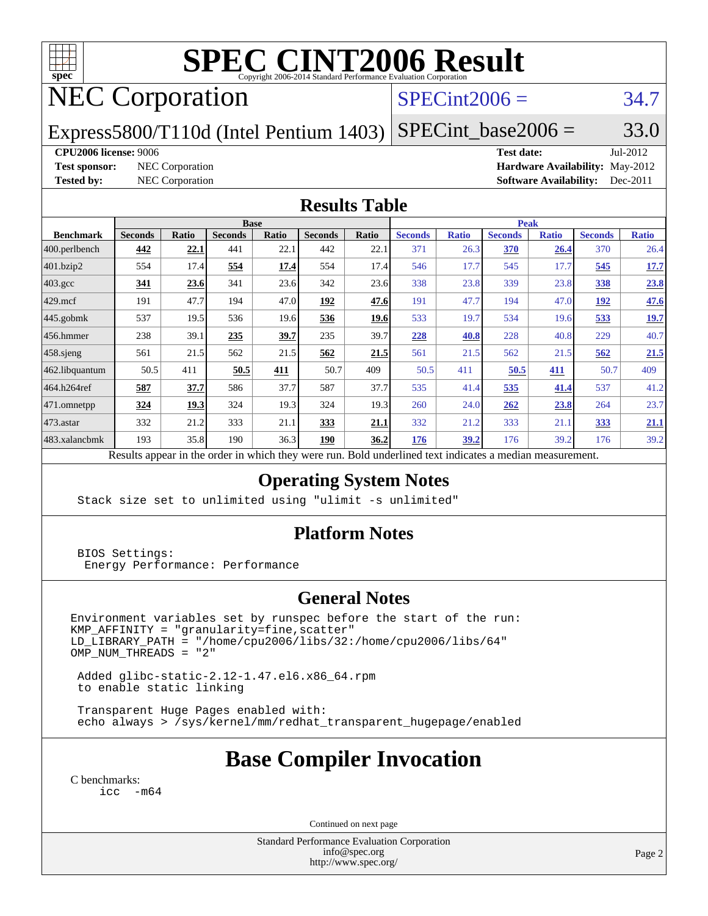

# **[SPEC CINT2006 Result](http://www.spec.org/auto/cpu2006/Docs/result-fields.html#SPECCINT2006Result)**

# NEC Corporation

## $SPECint2006 = 34.7$  $SPECint2006 = 34.7$

Express5800/T110d (Intel Pentium 1403)  $SPECint\_base2006 = 33.0$ 

**[CPU2006 license:](http://www.spec.org/auto/cpu2006/Docs/result-fields.html#CPU2006license)** 9006 **[Test date:](http://www.spec.org/auto/cpu2006/Docs/result-fields.html#Testdate)** Jul-2012 **[Test sponsor:](http://www.spec.org/auto/cpu2006/Docs/result-fields.html#Testsponsor)** NEC Corporation **[Hardware Availability:](http://www.spec.org/auto/cpu2006/Docs/result-fields.html#HardwareAvailability)** May-2012 **[Tested by:](http://www.spec.org/auto/cpu2006/Docs/result-fields.html#Testedby)** NEC Corporation **[Software Availability:](http://www.spec.org/auto/cpu2006/Docs/result-fields.html#SoftwareAvailability)** Dec-2011

#### **[Results Table](http://www.spec.org/auto/cpu2006/Docs/result-fields.html#ResultsTable)**

|                    | <b>Base</b>    |              |                | <b>Peak</b>  |                |             |                |              |                |              |                |              |
|--------------------|----------------|--------------|----------------|--------------|----------------|-------------|----------------|--------------|----------------|--------------|----------------|--------------|
| <b>Benchmark</b>   | <b>Seconds</b> | <b>Ratio</b> | <b>Seconds</b> | <b>Ratio</b> | <b>Seconds</b> | Ratio       | <b>Seconds</b> | <b>Ratio</b> | <b>Seconds</b> | <b>Ratio</b> | <b>Seconds</b> | <b>Ratio</b> |
| 400.perlbench      | 442            | 22.1         | 441            | 22.1         | 442            | 22.1        | 371            | 26.3         | 370            | 26.4         | 370            | 26.4         |
| 401.bzip2          | 554            | 17.4         | 554            | 17.4         | 554            | 17.4        | 546            | 17.7         | 545            | 17.7         | 545            | <u>17.7</u>  |
| $403.\mathrm{gcc}$ | 341            | 23.6         | 341            | 23.6         | 342            | 23.6        | 338            | 23.8         | 339            | 23.8         | 338            | 23.8         |
| $429$ .mcf         | 191            | 47.7         | 194            | 47.0         | 192            | 47.6        | 191            | 47.7         | 194            | 47.0         | <u>192</u>     | 47.6         |
| $445$ .gobmk       | 537            | 19.5         | 536            | 19.6         | 536            | 19.6        | 533            | 19.7         | 534            | 19.6         | 533            | <u>19.7</u>  |
| $456.$ hmmer       | 238            | 39.1         | 235            | 39.7         | 235            | 39.7        | 228            | 40.8         | 228            | 40.8         | 229            | 40.7         |
| $458$ .sjeng       | 561            | 21.5         | 562            | 21.5         | 562            | 21.5        | 561            | 21.5         | 562            | 21.5         | 562            | 21.5         |
| 462.libquantum     | 50.5           | 411          | 50.5           | 411          | 50.7           | 409         | 50.5           | 411          | 50.5           | 411          | 50.7           | 409          |
| 464.h264ref        | 587            | 37.7         | 586            | 37.7         | 587            | 37.7        | 535            | 41.4         | 535            | <u>41.4</u>  | 537            | 41.2         |
| 471.omnetpp        | 324            | <u> 19.3</u> | 324            | 19.3         | 324            | 19.3        | 260            | 24.0         | 262            | 23.8         | 264            | 23.7         |
| $473$ . astar      | 332            | 21.2         | 333            | 21.1         | 333            | <u>21.1</u> | 332            | 21.2         | 333            | 21.1         | <u>333</u>     | <u>21.1</u>  |
| 483.xalancbmk      | 193            | 35.8         | 190            | 36.3         | <u>190</u>     | 36.2        | <u>176</u>     | 39.2         | 176            | 39.2         | 176            | 39.2         |

Results appear in the [order in which they were run.](http://www.spec.org/auto/cpu2006/Docs/result-fields.html#RunOrder) Bold underlined text [indicates a median measurement.](http://www.spec.org/auto/cpu2006/Docs/result-fields.html#Median)

## **[Operating System Notes](http://www.spec.org/auto/cpu2006/Docs/result-fields.html#OperatingSystemNotes)**

Stack size set to unlimited using "ulimit -s unlimited"

### **[Platform Notes](http://www.spec.org/auto/cpu2006/Docs/result-fields.html#PlatformNotes)**

 BIOS Settings: Energy Performance: Performance

### **[General Notes](http://www.spec.org/auto/cpu2006/Docs/result-fields.html#GeneralNotes)**

Environment variables set by runspec before the start of the run: KMP\_AFFINITY = "granularity=fine,scatter" LD\_LIBRARY\_PATH = "/home/cpu2006/libs/32:/home/cpu2006/libs/64"  $OMP_NUM_THREADS = "2"$ 

 Added glibc-static-2.12-1.47.el6.x86\_64.rpm to enable static linking

 Transparent Huge Pages enabled with: echo always > /sys/kernel/mm/redhat\_transparent\_hugepage/enabled

## **[Base Compiler Invocation](http://www.spec.org/auto/cpu2006/Docs/result-fields.html#BaseCompilerInvocation)**

[C benchmarks](http://www.spec.org/auto/cpu2006/Docs/result-fields.html#Cbenchmarks): [icc -m64](http://www.spec.org/cpu2006/results/res2012q3/cpu2006-20120802-23994.flags.html#user_CCbase_intel_icc_64bit_f346026e86af2a669e726fe758c88044)

Continued on next page

Standard Performance Evaluation Corporation [info@spec.org](mailto:info@spec.org) <http://www.spec.org/>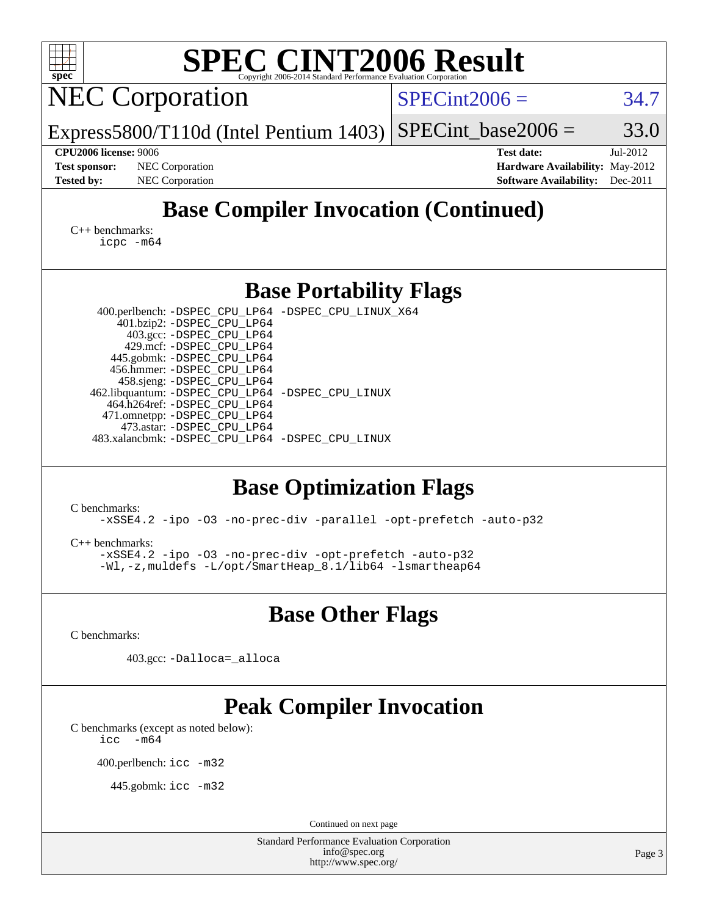| <b>SPEC CINT2006 Result</b><br>spec <sup>®</sup>                                                                                                                                                                                                                                                                                                                                                                                                                                                                                                                                                                                                                                                                  |                                                                                       |                        |
|-------------------------------------------------------------------------------------------------------------------------------------------------------------------------------------------------------------------------------------------------------------------------------------------------------------------------------------------------------------------------------------------------------------------------------------------------------------------------------------------------------------------------------------------------------------------------------------------------------------------------------------------------------------------------------------------------------------------|---------------------------------------------------------------------------------------|------------------------|
| Copyright 2006-2014 Standard Performance Evaluation Corporatio<br><b>NEC Corporation</b>                                                                                                                                                                                                                                                                                                                                                                                                                                                                                                                                                                                                                          | $SPECint2006 =$                                                                       | 34.7                   |
| $Express 5800/T110d$ (Intel Pentium 1403)                                                                                                                                                                                                                                                                                                                                                                                                                                                                                                                                                                                                                                                                         | $SPECint base2006 =$                                                                  | 33.0                   |
| <b>CPU2006 license: 9006</b><br><b>Test sponsor:</b><br><b>NEC</b> Corporation<br><b>Tested by:</b><br><b>NEC</b> Corporation                                                                                                                                                                                                                                                                                                                                                                                                                                                                                                                                                                                     | <b>Test date:</b><br>Hardware Availability: May-2012<br><b>Software Availability:</b> | Jul-2012<br>$Dec-2011$ |
| <b>Base Compiler Invocation (Continued)</b>                                                                                                                                                                                                                                                                                                                                                                                                                                                                                                                                                                                                                                                                       |                                                                                       |                        |
| $C_{++}$ benchmarks:<br>$icpc$ $-m64$                                                                                                                                                                                                                                                                                                                                                                                                                                                                                                                                                                                                                                                                             |                                                                                       |                        |
| <b>Base Portability Flags</b>                                                                                                                                                                                                                                                                                                                                                                                                                                                                                                                                                                                                                                                                                     |                                                                                       |                        |
| 400.perlbench: -DSPEC_CPU_LP64 -DSPEC_CPU_LINUX_X64<br>401.bzip2: -DSPEC_CPU_LP64<br>403.gcc: -DSPEC_CPU_LP64<br>429.mcf: -DSPEC_CPU_LP64<br>445.gobmk: -DSPEC_CPU_LP64<br>456.hmmer: -DSPEC_CPU_LP64<br>458.sjeng: -DSPEC_CPU_LP64<br>462.libquantum: - DSPEC_CPU_LP64 - DSPEC_CPU_LINUX<br>464.h264ref: -DSPEC_CPU_LP64<br>471.omnetpp: -DSPEC_CPU_LP64<br>473.astar: -DSPEC CPU LP64<br>483.xalancbmk: - DSPEC_CPU_LP64 - DSPEC_CPU_LINUX<br><b>Base Optimization Flags</b><br>C benchmarks:<br>-xSSE4.2 -ipo -03 -no-prec-div -parallel -opt-prefetch -auto-p32<br>$C_{++}$ benchmarks:<br>-xSSE4.2 -ipo -03 -no-prec-div -opt-prefetch -auto-p32<br>-Wl,-z, muldefs -L/opt/SmartHeap_8.1/lib64 -lsmartheap64 |                                                                                       |                        |
| <b>Base Other Flags</b>                                                                                                                                                                                                                                                                                                                                                                                                                                                                                                                                                                                                                                                                                           |                                                                                       |                        |
| C benchmarks:                                                                                                                                                                                                                                                                                                                                                                                                                                                                                                                                                                                                                                                                                                     |                                                                                       |                        |
| 403.gcc: -Dalloca=_alloca                                                                                                                                                                                                                                                                                                                                                                                                                                                                                                                                                                                                                                                                                         |                                                                                       |                        |
| <b>Peak Compiler Invocation</b><br>C benchmarks (except as noted below):<br>$\text{icc}$ -m64                                                                                                                                                                                                                                                                                                                                                                                                                                                                                                                                                                                                                     |                                                                                       |                        |
| 400.perlbench: icc -m32                                                                                                                                                                                                                                                                                                                                                                                                                                                                                                                                                                                                                                                                                           |                                                                                       |                        |
| 445.gobmk: $\text{icc}$ -m32                                                                                                                                                                                                                                                                                                                                                                                                                                                                                                                                                                                                                                                                                      |                                                                                       |                        |
| Continued on next page                                                                                                                                                                                                                                                                                                                                                                                                                                                                                                                                                                                                                                                                                            |                                                                                       |                        |
| <b>Standard Performance Evaluation Corporation</b>                                                                                                                                                                                                                                                                                                                                                                                                                                                                                                                                                                                                                                                                |                                                                                       |                        |
| info@spec.org<br>http://www.spec.org/                                                                                                                                                                                                                                                                                                                                                                                                                                                                                                                                                                                                                                                                             |                                                                                       | Page 3                 |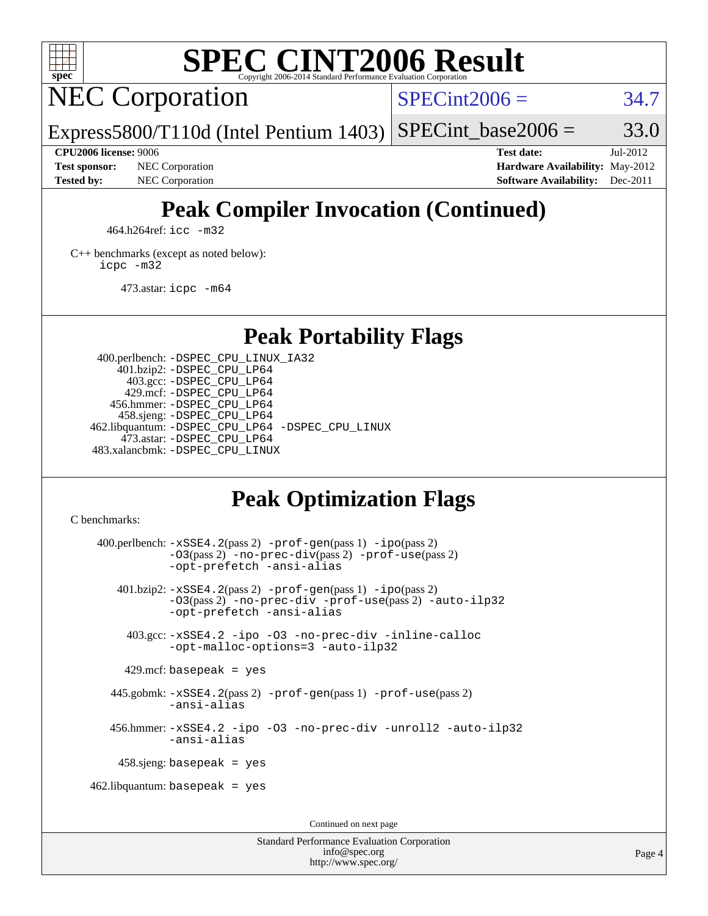

# **[SPEC CINT2006 Result](http://www.spec.org/auto/cpu2006/Docs/result-fields.html#SPECCINT2006Result)**

NEC Corporation

 $SPECint2006 = 34.7$  $SPECint2006 = 34.7$ 

Express5800/T110d (Intel Pentium 1403) SPECint base2006 =  $33.0$ 

**[Test sponsor:](http://www.spec.org/auto/cpu2006/Docs/result-fields.html#Testsponsor)** NEC Corporation **[Hardware Availability:](http://www.spec.org/auto/cpu2006/Docs/result-fields.html#HardwareAvailability)** May-2012

**[CPU2006 license:](http://www.spec.org/auto/cpu2006/Docs/result-fields.html#CPU2006license)** 9006 **[Test date:](http://www.spec.org/auto/cpu2006/Docs/result-fields.html#Testdate)** Jul-2012 **[Tested by:](http://www.spec.org/auto/cpu2006/Docs/result-fields.html#Testedby)** NEC Corporation **[Software Availability:](http://www.spec.org/auto/cpu2006/Docs/result-fields.html#SoftwareAvailability)** Dec-2011

# **[Peak Compiler Invocation \(Continued\)](http://www.spec.org/auto/cpu2006/Docs/result-fields.html#PeakCompilerInvocation)**

464.h264ref: [icc -m32](http://www.spec.org/cpu2006/results/res2012q3/cpu2006-20120802-23994.flags.html#user_peakCCLD464_h264ref_intel_icc_a6a621f8d50482236b970c6ac5f55f93)

[C++ benchmarks \(except as noted below\):](http://www.spec.org/auto/cpu2006/Docs/result-fields.html#CXXbenchmarksexceptasnotedbelow) [icpc -m32](http://www.spec.org/cpu2006/results/res2012q3/cpu2006-20120802-23994.flags.html#user_CXXpeak_intel_icpc_4e5a5ef1a53fd332b3c49e69c3330699)

473.astar: [icpc -m64](http://www.spec.org/cpu2006/results/res2012q3/cpu2006-20120802-23994.flags.html#user_peakCXXLD473_astar_intel_icpc_64bit_fc66a5337ce925472a5c54ad6a0de310)

## **[Peak Portability Flags](http://www.spec.org/auto/cpu2006/Docs/result-fields.html#PeakPortabilityFlags)**

 400.perlbench: [-DSPEC\\_CPU\\_LINUX\\_IA32](http://www.spec.org/cpu2006/results/res2012q3/cpu2006-20120802-23994.flags.html#b400.perlbench_peakCPORTABILITY_DSPEC_CPU_LINUX_IA32) 401.bzip2: [-DSPEC\\_CPU\\_LP64](http://www.spec.org/cpu2006/results/res2012q3/cpu2006-20120802-23994.flags.html#suite_peakPORTABILITY401_bzip2_DSPEC_CPU_LP64) 403.gcc: [-DSPEC\\_CPU\\_LP64](http://www.spec.org/cpu2006/results/res2012q3/cpu2006-20120802-23994.flags.html#suite_peakPORTABILITY403_gcc_DSPEC_CPU_LP64) 429.mcf: [-DSPEC\\_CPU\\_LP64](http://www.spec.org/cpu2006/results/res2012q3/cpu2006-20120802-23994.flags.html#suite_peakPORTABILITY429_mcf_DSPEC_CPU_LP64) 456.hmmer: [-DSPEC\\_CPU\\_LP64](http://www.spec.org/cpu2006/results/res2012q3/cpu2006-20120802-23994.flags.html#suite_peakPORTABILITY456_hmmer_DSPEC_CPU_LP64) 458.sjeng: [-DSPEC\\_CPU\\_LP64](http://www.spec.org/cpu2006/results/res2012q3/cpu2006-20120802-23994.flags.html#suite_peakPORTABILITY458_sjeng_DSPEC_CPU_LP64) 462.libquantum: [-DSPEC\\_CPU\\_LP64](http://www.spec.org/cpu2006/results/res2012q3/cpu2006-20120802-23994.flags.html#suite_peakPORTABILITY462_libquantum_DSPEC_CPU_LP64) [-DSPEC\\_CPU\\_LINUX](http://www.spec.org/cpu2006/results/res2012q3/cpu2006-20120802-23994.flags.html#b462.libquantum_peakCPORTABILITY_DSPEC_CPU_LINUX) 473.astar: [-DSPEC\\_CPU\\_LP64](http://www.spec.org/cpu2006/results/res2012q3/cpu2006-20120802-23994.flags.html#suite_peakPORTABILITY473_astar_DSPEC_CPU_LP64) 483.xalancbmk: [-DSPEC\\_CPU\\_LINUX](http://www.spec.org/cpu2006/results/res2012q3/cpu2006-20120802-23994.flags.html#b483.xalancbmk_peakCXXPORTABILITY_DSPEC_CPU_LINUX)

## **[Peak Optimization Flags](http://www.spec.org/auto/cpu2006/Docs/result-fields.html#PeakOptimizationFlags)**

[C benchmarks](http://www.spec.org/auto/cpu2006/Docs/result-fields.html#Cbenchmarks):

 400.perlbench: [-xSSE4.2](http://www.spec.org/cpu2006/results/res2012q3/cpu2006-20120802-23994.flags.html#user_peakPASS2_CFLAGSPASS2_LDCFLAGS400_perlbench_f-xSSE42_f91528193cf0b216347adb8b939d4107)(pass 2) [-prof-gen](http://www.spec.org/cpu2006/results/res2012q3/cpu2006-20120802-23994.flags.html#user_peakPASS1_CFLAGSPASS1_LDCFLAGS400_perlbench_prof_gen_e43856698f6ca7b7e442dfd80e94a8fc)(pass 1) [-ipo](http://www.spec.org/cpu2006/results/res2012q3/cpu2006-20120802-23994.flags.html#user_peakPASS2_CFLAGSPASS2_LDCFLAGS400_perlbench_f-ipo)(pass 2) [-O3](http://www.spec.org/cpu2006/results/res2012q3/cpu2006-20120802-23994.flags.html#user_peakPASS2_CFLAGSPASS2_LDCFLAGS400_perlbench_f-O3)(pass 2) [-no-prec-div](http://www.spec.org/cpu2006/results/res2012q3/cpu2006-20120802-23994.flags.html#user_peakPASS2_CFLAGSPASS2_LDCFLAGS400_perlbench_f-no-prec-div)(pass 2) [-prof-use](http://www.spec.org/cpu2006/results/res2012q3/cpu2006-20120802-23994.flags.html#user_peakPASS2_CFLAGSPASS2_LDCFLAGS400_perlbench_prof_use_bccf7792157ff70d64e32fe3e1250b55)(pass 2) [-opt-prefetch](http://www.spec.org/cpu2006/results/res2012q3/cpu2006-20120802-23994.flags.html#user_peakCOPTIMIZE400_perlbench_f-opt-prefetch) [-ansi-alias](http://www.spec.org/cpu2006/results/res2012q3/cpu2006-20120802-23994.flags.html#user_peakCOPTIMIZE400_perlbench_f-ansi-alias) 401.bzip2: [-xSSE4.2](http://www.spec.org/cpu2006/results/res2012q3/cpu2006-20120802-23994.flags.html#user_peakPASS2_CFLAGSPASS2_LDCFLAGS401_bzip2_f-xSSE42_f91528193cf0b216347adb8b939d4107)(pass 2) [-prof-gen](http://www.spec.org/cpu2006/results/res2012q3/cpu2006-20120802-23994.flags.html#user_peakPASS1_CFLAGSPASS1_LDCFLAGS401_bzip2_prof_gen_e43856698f6ca7b7e442dfd80e94a8fc)(pass 1) [-ipo](http://www.spec.org/cpu2006/results/res2012q3/cpu2006-20120802-23994.flags.html#user_peakPASS2_CFLAGSPASS2_LDCFLAGS401_bzip2_f-ipo)(pass 2) [-O3](http://www.spec.org/cpu2006/results/res2012q3/cpu2006-20120802-23994.flags.html#user_peakPASS2_CFLAGSPASS2_LDCFLAGS401_bzip2_f-O3)(pass 2) [-no-prec-div](http://www.spec.org/cpu2006/results/res2012q3/cpu2006-20120802-23994.flags.html#user_peakCOPTIMIZEPASS2_CFLAGSPASS2_LDCFLAGS401_bzip2_f-no-prec-div) [-prof-use](http://www.spec.org/cpu2006/results/res2012q3/cpu2006-20120802-23994.flags.html#user_peakPASS2_CFLAGSPASS2_LDCFLAGS401_bzip2_prof_use_bccf7792157ff70d64e32fe3e1250b55)(pass 2) [-auto-ilp32](http://www.spec.org/cpu2006/results/res2012q3/cpu2006-20120802-23994.flags.html#user_peakCOPTIMIZE401_bzip2_f-auto-ilp32) [-opt-prefetch](http://www.spec.org/cpu2006/results/res2012q3/cpu2006-20120802-23994.flags.html#user_peakCOPTIMIZE401_bzip2_f-opt-prefetch) [-ansi-alias](http://www.spec.org/cpu2006/results/res2012q3/cpu2006-20120802-23994.flags.html#user_peakCOPTIMIZE401_bzip2_f-ansi-alias) 403.gcc: [-xSSE4.2](http://www.spec.org/cpu2006/results/res2012q3/cpu2006-20120802-23994.flags.html#user_peakCOPTIMIZE403_gcc_f-xSSE42_f91528193cf0b216347adb8b939d4107) [-ipo](http://www.spec.org/cpu2006/results/res2012q3/cpu2006-20120802-23994.flags.html#user_peakCOPTIMIZE403_gcc_f-ipo) [-O3](http://www.spec.org/cpu2006/results/res2012q3/cpu2006-20120802-23994.flags.html#user_peakCOPTIMIZE403_gcc_f-O3) [-no-prec-div](http://www.spec.org/cpu2006/results/res2012q3/cpu2006-20120802-23994.flags.html#user_peakCOPTIMIZE403_gcc_f-no-prec-div) [-inline-calloc](http://www.spec.org/cpu2006/results/res2012q3/cpu2006-20120802-23994.flags.html#user_peakCOPTIMIZE403_gcc_f-inline-calloc) [-opt-malloc-options=3](http://www.spec.org/cpu2006/results/res2012q3/cpu2006-20120802-23994.flags.html#user_peakCOPTIMIZE403_gcc_f-opt-malloc-options_13ab9b803cf986b4ee62f0a5998c2238) [-auto-ilp32](http://www.spec.org/cpu2006/results/res2012q3/cpu2006-20120802-23994.flags.html#user_peakCOPTIMIZE403_gcc_f-auto-ilp32)  $429$ .mcf: basepeak = yes 445.gobmk: [-xSSE4.2](http://www.spec.org/cpu2006/results/res2012q3/cpu2006-20120802-23994.flags.html#user_peakPASS2_CFLAGSPASS2_LDCFLAGS445_gobmk_f-xSSE42_f91528193cf0b216347adb8b939d4107)(pass 2) [-prof-gen](http://www.spec.org/cpu2006/results/res2012q3/cpu2006-20120802-23994.flags.html#user_peakPASS1_CFLAGSPASS1_LDCFLAGS445_gobmk_prof_gen_e43856698f6ca7b7e442dfd80e94a8fc)(pass 1) [-prof-use](http://www.spec.org/cpu2006/results/res2012q3/cpu2006-20120802-23994.flags.html#user_peakPASS2_CFLAGSPASS2_LDCFLAGS445_gobmk_prof_use_bccf7792157ff70d64e32fe3e1250b55)(pass 2) [-ansi-alias](http://www.spec.org/cpu2006/results/res2012q3/cpu2006-20120802-23994.flags.html#user_peakCOPTIMIZE445_gobmk_f-ansi-alias) 456.hmmer: [-xSSE4.2](http://www.spec.org/cpu2006/results/res2012q3/cpu2006-20120802-23994.flags.html#user_peakCOPTIMIZE456_hmmer_f-xSSE42_f91528193cf0b216347adb8b939d4107) [-ipo](http://www.spec.org/cpu2006/results/res2012q3/cpu2006-20120802-23994.flags.html#user_peakCOPTIMIZE456_hmmer_f-ipo) [-O3](http://www.spec.org/cpu2006/results/res2012q3/cpu2006-20120802-23994.flags.html#user_peakCOPTIMIZE456_hmmer_f-O3) [-no-prec-div](http://www.spec.org/cpu2006/results/res2012q3/cpu2006-20120802-23994.flags.html#user_peakCOPTIMIZE456_hmmer_f-no-prec-div) [-unroll2](http://www.spec.org/cpu2006/results/res2012q3/cpu2006-20120802-23994.flags.html#user_peakCOPTIMIZE456_hmmer_f-unroll_784dae83bebfb236979b41d2422d7ec2) [-auto-ilp32](http://www.spec.org/cpu2006/results/res2012q3/cpu2006-20120802-23994.flags.html#user_peakCOPTIMIZE456_hmmer_f-auto-ilp32) [-ansi-alias](http://www.spec.org/cpu2006/results/res2012q3/cpu2006-20120802-23994.flags.html#user_peakCOPTIMIZE456_hmmer_f-ansi-alias) 458.sjeng: basepeak = yes  $462$ .libquantum: basepeak = yes Continued on next page

> Standard Performance Evaluation Corporation [info@spec.org](mailto:info@spec.org) <http://www.spec.org/>